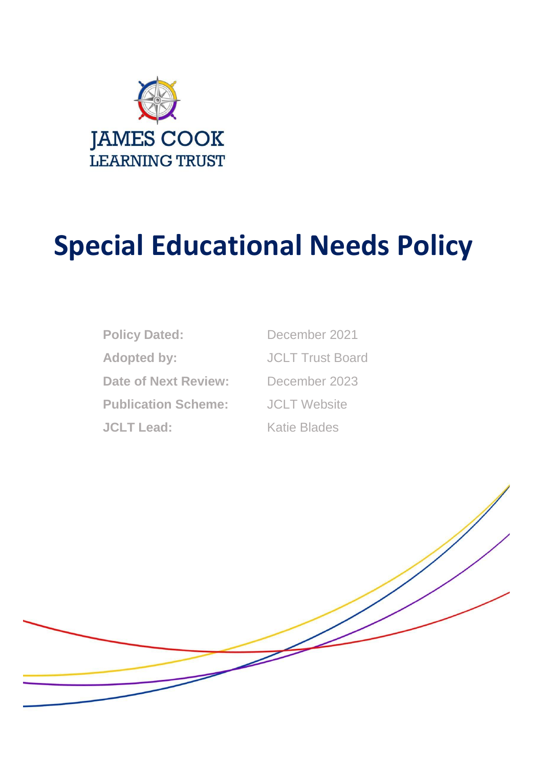

# **Special Educational Needs Policy**

Policy Dated: December 2021 Adopted by: **JCLT Trust Board Date of Next Review:** December 2023 **Publication Scheme:** JCLT Website **JCLT Lead:** Katie Blades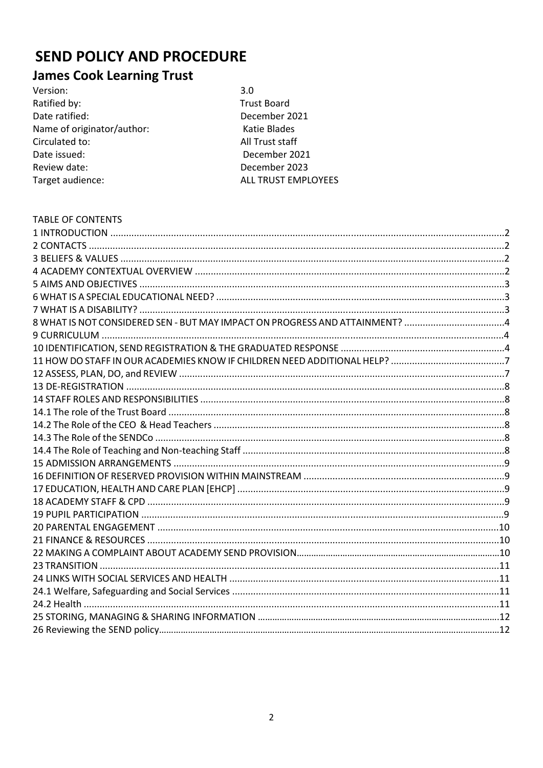# **SEND POLICY AND PROCEDURE**

# **James Cook Learning Trust**

| Version:                   | 3.0                        |
|----------------------------|----------------------------|
| Ratified by:               | <b>Trust Board</b>         |
| Date ratified:             | December 2021              |
| Name of originator/author: | Katie Blades               |
| Circulated to:             | All Trust staff            |
| Date issued:               | December 2021              |
| Review date:               | December 2023              |
| Target audience:           | <b>ALL TRUST EMPLOYEES</b> |
|                            |                            |

| <b>TABLE OF CONTENTS</b>                                                    |  |
|-----------------------------------------------------------------------------|--|
|                                                                             |  |
|                                                                             |  |
|                                                                             |  |
|                                                                             |  |
|                                                                             |  |
|                                                                             |  |
|                                                                             |  |
| 8 WHAT IS NOT CONSIDERED SEN - BUT MAY IMPACT ON PROGRESS AND ATTAINMENT? 4 |  |
|                                                                             |  |
|                                                                             |  |
|                                                                             |  |
|                                                                             |  |
|                                                                             |  |
|                                                                             |  |
|                                                                             |  |
|                                                                             |  |
|                                                                             |  |
|                                                                             |  |
|                                                                             |  |
|                                                                             |  |
|                                                                             |  |
|                                                                             |  |
|                                                                             |  |
|                                                                             |  |
|                                                                             |  |
|                                                                             |  |
|                                                                             |  |
|                                                                             |  |
|                                                                             |  |
|                                                                             |  |
|                                                                             |  |
|                                                                             |  |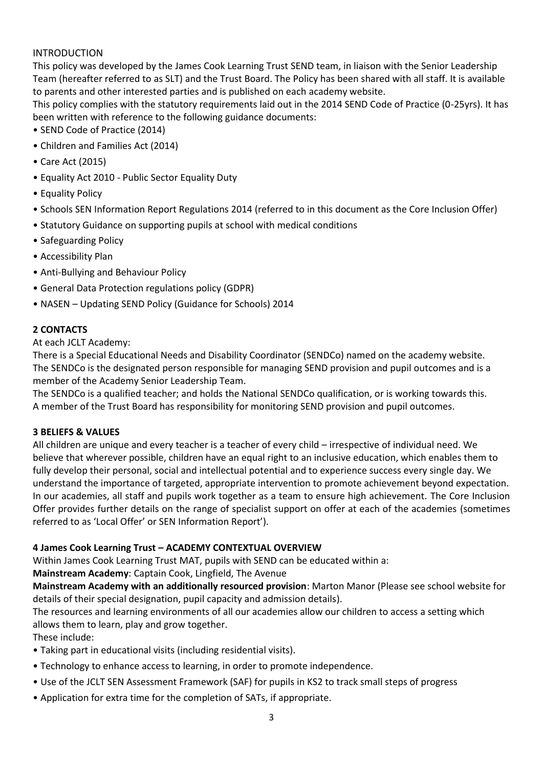# INTRODUCTION

This policy was developed by the James Cook Learning Trust SEND team, in liaison with the Senior Leadership Team (hereafter referred to as SLT) and the Trust Board. The Policy has been shared with all staff. It is available to parents and other interested parties and is published on each academy website.

This policy complies with the statutory requirements laid out in the 2014 SEND Code of Practice (0-25yrs). It has been written with reference to the following guidance documents:

- SEND Code of Practice (2014)
- Children and Families Act (2014)
- Care Act (2015)
- Equality Act 2010 Public Sector Equality Duty
- Equality Policy
- Schools SEN Information Report Regulations 2014 (referred to in this document as the Core Inclusion Offer)
- Statutory Guidance on supporting pupils at school with medical conditions
- Safeguarding Policy
- Accessibility Plan
- Anti-Bullying and Behaviour Policy
- General Data Protection regulations policy (GDPR)
- NASEN Updating SEND Policy (Guidance for Schools) 2014

#### **2 CONTACTS**

At each JCLT Academy:

There is a Special Educational Needs and Disability Coordinator (SENDCo) named on the academy website. The SENDCo is the designated person responsible for managing SEND provision and pupil outcomes and is a member of the Academy Senior Leadership Team.

The SENDCo is a qualified teacher; and holds the National SENDCo qualification, or is working towards this. A member of the Trust Board has responsibility for monitoring SEND provision and pupil outcomes.

#### **3 BELIEFS & VALUES**

All children are unique and every teacher is a teacher of every child – irrespective of individual need. We believe that wherever possible, children have an equal right to an inclusive education, which enables them to fully develop their personal, social and intellectual potential and to experience success every single day. We understand the importance of targeted, appropriate intervention to promote achievement beyond expectation. In our academies, all staff and pupils work together as a team to ensure high achievement. The Core Inclusion Offer provides further details on the range of specialist support on offer at each of the academies (sometimes referred to as 'Local Offer' or SEN Information Report').

#### **4 James Cook Learning Trust – ACADEMY CONTEXTUAL OVERVIEW**

Within James Cook Learning Trust MAT, pupils with SEND can be educated within a:

**Mainstream Academy**: Captain Cook, Lingfield, The Avenue

**Mainstream Academy with an additionally resourced provision**: Marton Manor (Please see school website for details of their special designation, pupil capacity and admission details).

The resources and learning environments of all our academies allow our children to access a setting which allows them to learn, play and grow together.

#### These include:

- Taking part in educational visits (including residential visits).
- Technology to enhance access to learning, in order to promote independence.
- Use of the JCLT SEN Assessment Framework (SAF) for pupils in KS2 to track small steps of progress
- Application for extra time for the completion of SATs, if appropriate.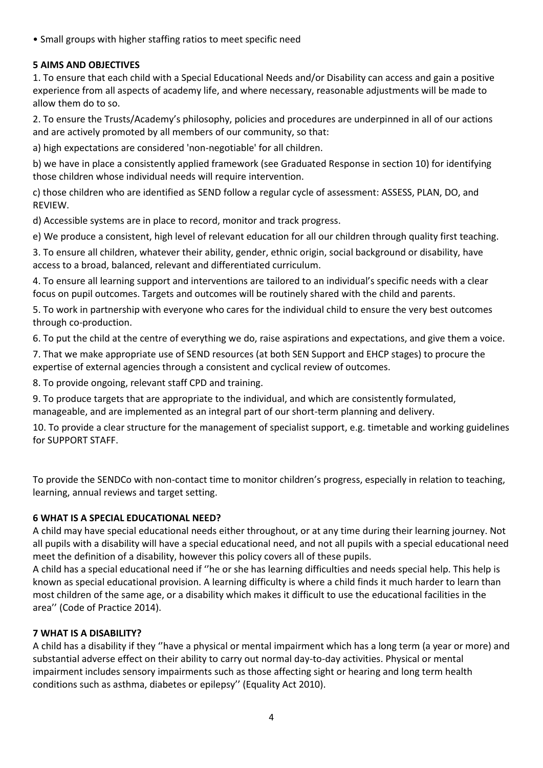• Small groups with higher staffing ratios to meet specific need

# **5 AIMS AND OBJECTIVES**

1. To ensure that each child with a Special Educational Needs and/or Disability can access and gain a positive experience from all aspects of academy life, and where necessary, reasonable adjustments will be made to allow them do to so.

2. To ensure the Trusts/Academy's philosophy, policies and procedures are underpinned in all of our actions and are actively promoted by all members of our community, so that:

a) high expectations are considered 'non-negotiable' for all children.

b) we have in place a consistently applied framework (see Graduated Response in section 10) for identifying those children whose individual needs will require intervention.

c) those children who are identified as SEND follow a regular cycle of assessment: ASSESS, PLAN, DO, and REVIEW.

d) Accessible systems are in place to record, monitor and track progress.

e) We produce a consistent, high level of relevant education for all our children through quality first teaching.

3. To ensure all children, whatever their ability, gender, ethnic origin, social background or disability, have access to a broad, balanced, relevant and differentiated curriculum.

4. To ensure all learning support and interventions are tailored to an individual's specific needs with a clear focus on pupil outcomes. Targets and outcomes will be routinely shared with the child and parents.

5. To work in partnership with everyone who cares for the individual child to ensure the very best outcomes through co-production.

6. To put the child at the centre of everything we do, raise aspirations and expectations, and give them a voice.

7. That we make appropriate use of SEND resources (at both SEN Support and EHCP stages) to procure the expertise of external agencies through a consistent and cyclical review of outcomes.

8. To provide ongoing, relevant staff CPD and training.

9. To produce targets that are appropriate to the individual, and which are consistently formulated, manageable, and are implemented as an integral part of our short-term planning and delivery.

10. To provide a clear structure for the management of specialist support, e.g. timetable and working guidelines for SUPPORT STAFF.

To provide the SENDCo with non-contact time to monitor children's progress, especially in relation to teaching, learning, annual reviews and target setting.

# **6 WHAT IS A SPECIAL EDUCATIONAL NEED?**

A child may have special educational needs either throughout, or at any time during their learning journey. Not all pupils with a disability will have a special educational need, and not all pupils with a special educational need meet the definition of a disability, however this policy covers all of these pupils.

A child has a special educational need if ''he or she has learning difficulties and needs special help. This help is known as special educational provision. A learning difficulty is where a child finds it much harder to learn than most children of the same age, or a disability which makes it difficult to use the educational facilities in the area'' (Code of Practice 2014).

# **7 WHAT IS A DISABILITY?**

A child has a disability if they ''have a physical or mental impairment which has a long term (a year or more) and substantial adverse effect on their ability to carry out normal day-to-day activities. Physical or mental impairment includes sensory impairments such as those affecting sight or hearing and long term health conditions such as asthma, diabetes or epilepsy'' (Equality Act 2010).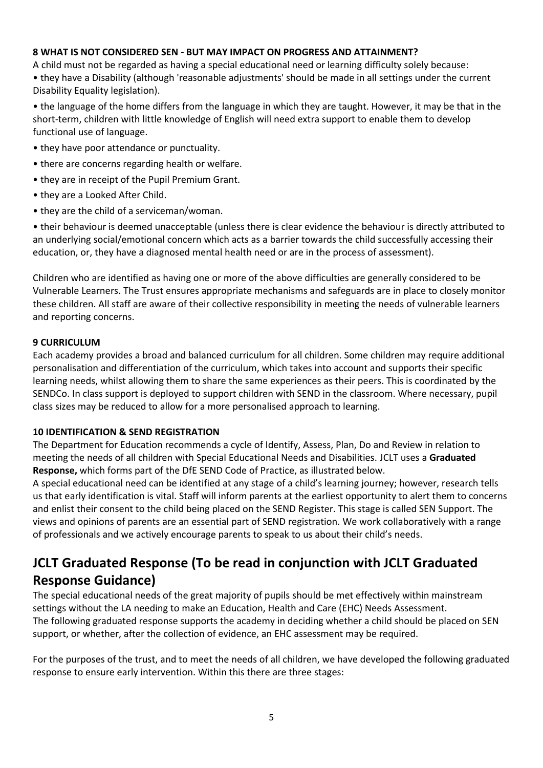#### **8 WHAT IS NOT CONSIDERED SEN - BUT MAY IMPACT ON PROGRESS AND ATTAINMENT?**

A child must not be regarded as having a special educational need or learning difficulty solely because: • they have a Disability (although 'reasonable adjustments' should be made in all settings under the current Disability Equality legislation).

• the language of the home differs from the language in which they are taught. However, it may be that in the short-term, children with little knowledge of English will need extra support to enable them to develop functional use of language.

- they have poor attendance or punctuality.
- there are concerns regarding health or welfare.
- they are in receipt of the Pupil Premium Grant.
- they are a Looked After Child.
- they are the child of a serviceman/woman.

• their behaviour is deemed unacceptable (unless there is clear evidence the behaviour is directly attributed to an underlying social/emotional concern which acts as a barrier towards the child successfully accessing their education, or, they have a diagnosed mental health need or are in the process of assessment).

Children who are identified as having one or more of the above difficulties are generally considered to be Vulnerable Learners. The Trust ensures appropriate mechanisms and safeguards are in place to closely monitor these children. All staff are aware of their collective responsibility in meeting the needs of vulnerable learners and reporting concerns.

#### **9 CURRICULUM**

Each academy provides a broad and balanced curriculum for all children. Some children may require additional personalisation and differentiation of the curriculum, which takes into account and supports their specific learning needs, whilst allowing them to share the same experiences as their peers. This is coordinated by the SENDCo. In class support is deployed to support children with SEND in the classroom. Where necessary, pupil class sizes may be reduced to allow for a more personalised approach to learning.

#### **10 IDENTIFICATION & SEND REGISTRATION**

The Department for Education recommends a cycle of Identify, Assess, Plan, Do and Review in relation to meeting the needs of all children with Special Educational Needs and Disabilities. JCLT uses a **Graduated Response,** which forms part of the DfE SEND Code of Practice, as illustrated below.

A special educational need can be identified at any stage of a child's learning journey; however, research tells us that early identification is vital. Staff will inform parents at the earliest opportunity to alert them to concerns and enlist their consent to the child being placed on the SEND Register. This stage is called SEN Support. The views and opinions of parents are an essential part of SEND registration. We work collaboratively with a range of professionals and we actively encourage parents to speak to us about their child's needs.

# **JCLT Graduated Response (To be read in conjunction with JCLT Graduated Response Guidance)**

The special educational needs of the great majority of pupils should be met effectively within mainstream settings without the LA needing to make an Education, Health and Care (EHC) Needs Assessment. The following graduated response supports the academy in deciding whether a child should be placed on SEN support, or whether, after the collection of evidence, an EHC assessment may be required.

For the purposes of the trust, and to meet the needs of all children, we have developed the following graduated response to ensure early intervention. Within this there are three stages: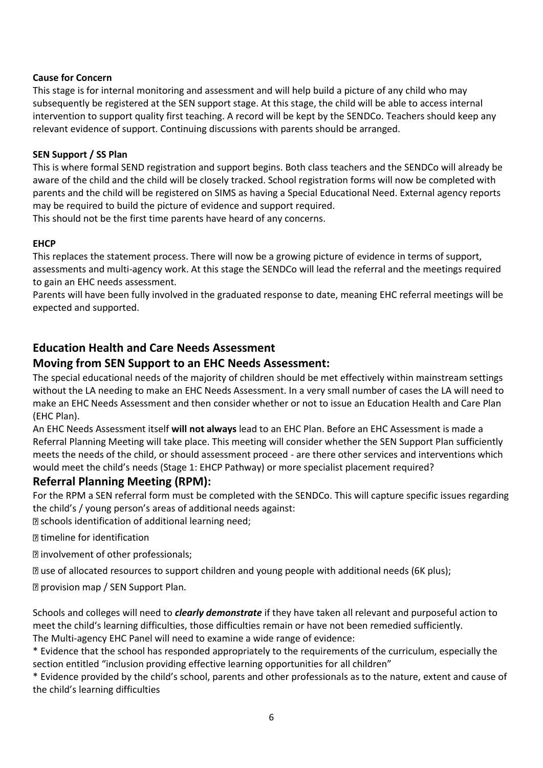#### **Cause for Concern**

This stage is for internal monitoring and assessment and will help build a picture of any child who may subsequently be registered at the SEN support stage. At this stage, the child will be able to access internal intervention to support quality first teaching. A record will be kept by the SENDCo. Teachers should keep any relevant evidence of support. Continuing discussions with parents should be arranged.

#### **SEN Support / SS Plan**

This is where formal SEND registration and support begins. Both class teachers and the SENDCo will already be aware of the child and the child will be closely tracked. School registration forms will now be completed with parents and the child will be registered on SIMS as having a Special Educational Need. External agency reports may be required to build the picture of evidence and support required.

This should not be the first time parents have heard of any concerns.

#### **EHCP**

This replaces the statement process. There will now be a growing picture of evidence in terms of support, assessments and multi-agency work. At this stage the SENDCo will lead the referral and the meetings required to gain an EHC needs assessment.

Parents will have been fully involved in the graduated response to date, meaning EHC referral meetings will be expected and supported.

# **Education Health and Care Needs Assessment**

# **Moving from SEN Support to an EHC Needs Assessment:**

The special educational needs of the majority of children should be met effectively within mainstream settings without the LA needing to make an EHC Needs Assessment. In a very small number of cases the LA will need to make an EHC Needs Assessment and then consider whether or not to issue an Education Health and Care Plan (EHC Plan).

An EHC Needs Assessment itself **will not always** lead to an EHC Plan. Before an EHC Assessment is made a Referral Planning Meeting will take place. This meeting will consider whether the SEN Support Plan sufficiently meets the needs of the child, or should assessment proceed - are there other services and interventions which would meet the child's needs (Stage 1: EHCP Pathway) or more specialist placement required?

# **Referral Planning Meeting (RPM):**

For the RPM a SEN referral form must be completed with the SENDCo. This will capture specific issues regarding the child's / young person's areas of additional needs against:

**Example 3 schools identification of additional learning need;** 

timeline for identification

involvement of other professionals;

use of allocated resources to support children and young people with additional needs (6K plus);

provision map / SEN Support Plan.

Schools and colleges will need to *clearly demonstrate* if they have taken all relevant and purposeful action to meet the child's learning difficulties, those difficulties remain or have not been remedied sufficiently. The Multi-agency EHC Panel will need to examine a wide range of evidence:

\* Evidence that the school has responded appropriately to the requirements of the curriculum, especially the section entitled "inclusion providing effective learning opportunities for all children"

\* Evidence provided by the child's school, parents and other professionals as to the nature, extent and cause of the child's learning difficulties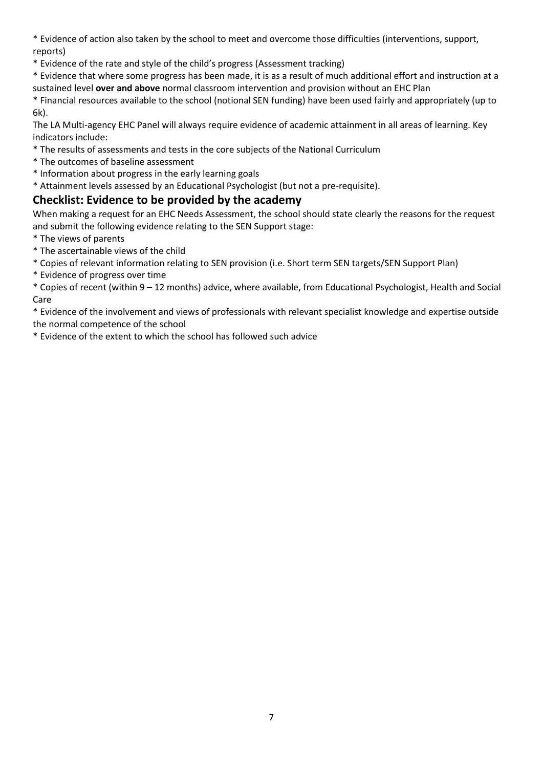\* Evidence of action also taken by the school to meet and overcome those difficulties (interventions, support, reports)

\* Evidence of the rate and style of the child's progress (Assessment tracking)

\* Evidence that where some progress has been made, it is as a result of much additional effort and instruction at a sustained level **over and above** normal classroom intervention and provision without an EHC Plan

\* Financial resources available to the school (notional SEN funding) have been used fairly and appropriately (up to 6k).

The LA Multi-agency EHC Panel will always require evidence of academic attainment in all areas of learning. Key indicators include:

- \* The results of assessments and tests in the core subjects of the National Curriculum
- \* The outcomes of baseline assessment
- \* Information about progress in the early learning goals
- \* Attainment levels assessed by an Educational Psychologist (but not a pre-requisite).

# **Checklist: Evidence to be provided by the academy**

When making a request for an EHC Needs Assessment, the school should state clearly the reasons for the request and submit the following evidence relating to the SEN Support stage:

- \* The views of parents
- \* The ascertainable views of the child
- \* Copies of relevant information relating to SEN provision (i.e. Short term SEN targets/SEN Support Plan)
- \* Evidence of progress over time
- \* Copies of recent (within 9 12 months) advice, where available, from Educational Psychologist, Health and Social Care

\* Evidence of the involvement and views of professionals with relevant specialist knowledge and expertise outside the normal competence of the school

\* Evidence of the extent to which the school has followed such advice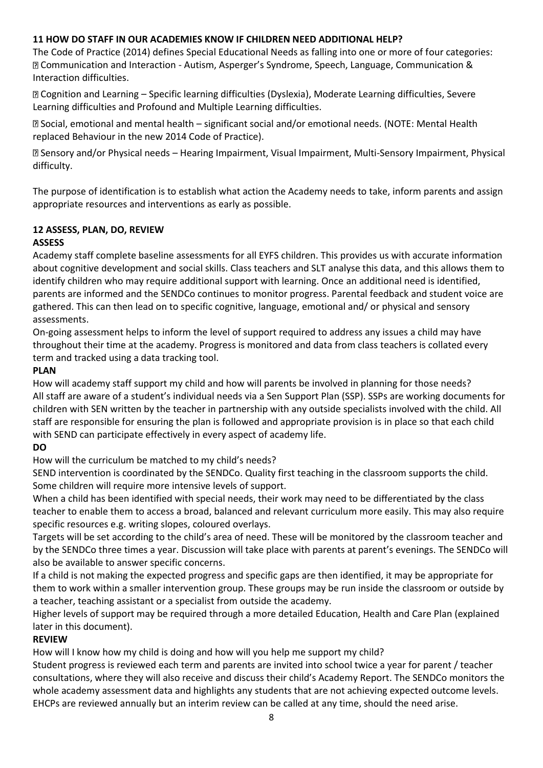# **11 HOW DO STAFF IN OUR ACADEMIES KNOW IF CHILDREN NEED ADDITIONAL HELP?**

The Code of Practice (2014) defines Special Educational Needs as falling into one or more of four categories: Communication and Interaction - Autism, Asperger's Syndrome, Speech, Language, Communication & Interaction difficulties.

Cognition and Learning – Specific learning difficulties (Dyslexia), Moderate Learning difficulties, Severe Learning difficulties and Profound and Multiple Learning difficulties.

Social, emotional and mental health – significant social and/or emotional needs. (NOTE: Mental Health replaced Behaviour in the new 2014 Code of Practice).

Sensory and/or Physical needs – Hearing Impairment, Visual Impairment, Multi-Sensory Impairment, Physical difficulty.

The purpose of identification is to establish what action the Academy needs to take, inform parents and assign appropriate resources and interventions as early as possible.

# **12 ASSESS, PLAN, DO, REVIEW**

# **ASSESS**

Academy staff complete baseline assessments for all EYFS children. This provides us with accurate information about cognitive development and social skills. Class teachers and SLT analyse this data, and this allows them to identify children who may require additional support with learning. Once an additional need is identified, parents are informed and the SENDCo continues to monitor progress. Parental feedback and student voice are gathered. This can then lead on to specific cognitive, language, emotional and/ or physical and sensory assessments.

On-going assessment helps to inform the level of support required to address any issues a child may have throughout their time at the academy. Progress is monitored and data from class teachers is collated every term and tracked using a data tracking tool.

#### **PLAN**

How will academy staff support my child and how will parents be involved in planning for those needs? All staff are aware of a student's individual needs via a Sen Support Plan (SSP). SSPs are working documents for children with SEN written by the teacher in partnership with any outside specialists involved with the child. All staff are responsible for ensuring the plan is followed and appropriate provision is in place so that each child with SEND can participate effectively in every aspect of academy life.

# **DO**

How will the curriculum be matched to my child's needs?

SEND intervention is coordinated by the SENDCo. Quality first teaching in the classroom supports the child. Some children will require more intensive levels of support.

When a child has been identified with special needs, their work may need to be differentiated by the class teacher to enable them to access a broad, balanced and relevant curriculum more easily. This may also require specific resources e.g. writing slopes, coloured overlays.

Targets will be set according to the child's area of need. These will be monitored by the classroom teacher and by the SENDCo three times a year. Discussion will take place with parents at parent's evenings. The SENDCo will also be available to answer specific concerns.

If a child is not making the expected progress and specific gaps are then identified, it may be appropriate for them to work within a smaller intervention group. These groups may be run inside the classroom or outside by a teacher, teaching assistant or a specialist from outside the academy.

Higher levels of support may be required through a more detailed Education, Health and Care Plan (explained later in this document).

# **REVIEW**

How will I know how my child is doing and how will you help me support my child?

Student progress is reviewed each term and parents are invited into school twice a year for parent / teacher consultations, where they will also receive and discuss their child's Academy Report. The SENDCo monitors the whole academy assessment data and highlights any students that are not achieving expected outcome levels. EHCPs are reviewed annually but an interim review can be called at any time, should the need arise.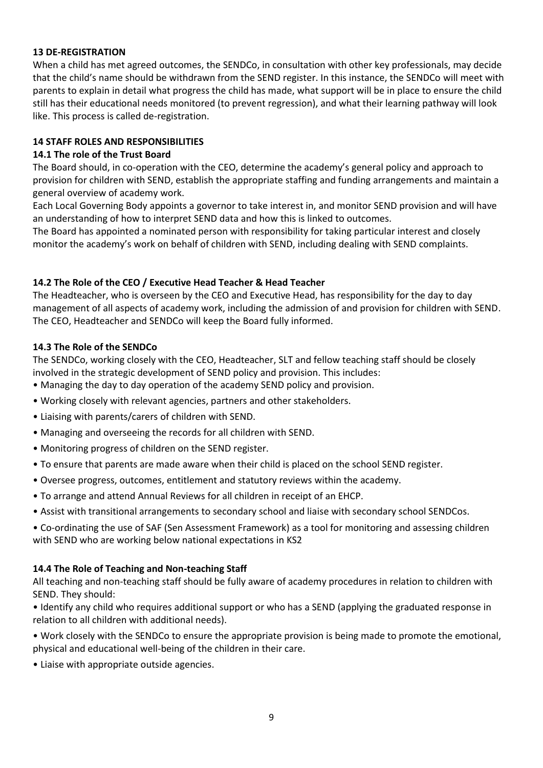#### **13 DE-REGISTRATION**

When a child has met agreed outcomes, the SENDCo, in consultation with other key professionals, may decide that the child's name should be withdrawn from the SEND register. In this instance, the SENDCo will meet with parents to explain in detail what progress the child has made, what support will be in place to ensure the child still has their educational needs monitored (to prevent regression), and what their learning pathway will look like. This process is called de-registration.

#### **14 STAFF ROLES AND RESPONSIBILITIES**

#### **14.1 The role of the Trust Board**

The Board should, in co-operation with the CEO, determine the academy's general policy and approach to provision for children with SEND, establish the appropriate staffing and funding arrangements and maintain a general overview of academy work.

Each Local Governing Body appoints a governor to take interest in, and monitor SEND provision and will have an understanding of how to interpret SEND data and how this is linked to outcomes.

The Board has appointed a nominated person with responsibility for taking particular interest and closely monitor the academy's work on behalf of children with SEND, including dealing with SEND complaints.

#### **14.2 The Role of the CEO / Executive Head Teacher & Head Teacher**

The Headteacher, who is overseen by the CEO and Executive Head, has responsibility for the day to day management of all aspects of academy work, including the admission of and provision for children with SEND. The CEO, Headteacher and SENDCo will keep the Board fully informed.

#### **14.3 The Role of the SENDCo**

The SENDCo, working closely with the CEO, Headteacher, SLT and fellow teaching staff should be closely involved in the strategic development of SEND policy and provision. This includes:

- Managing the day to day operation of the academy SEND policy and provision.
- Working closely with relevant agencies, partners and other stakeholders.
- Liaising with parents/carers of children with SEND.
- Managing and overseeing the records for all children with SEND.
- Monitoring progress of children on the SEND register.
- To ensure that parents are made aware when their child is placed on the school SEND register.
- Oversee progress, outcomes, entitlement and statutory reviews within the academy.
- To arrange and attend Annual Reviews for all children in receipt of an EHCP.
- Assist with transitional arrangements to secondary school and liaise with secondary school SENDCos.
- Co-ordinating the use of SAF (Sen Assessment Framework) as a tool for monitoring and assessing children with SEND who are working below national expectations in KS2

#### **14.4 The Role of Teaching and Non-teaching Staff**

All teaching and non-teaching staff should be fully aware of academy procedures in relation to children with SEND. They should:

• Identify any child who requires additional support or who has a SEND (applying the graduated response in relation to all children with additional needs).

• Work closely with the SENDCo to ensure the appropriate provision is being made to promote the emotional, physical and educational well-being of the children in their care.

• Liaise with appropriate outside agencies.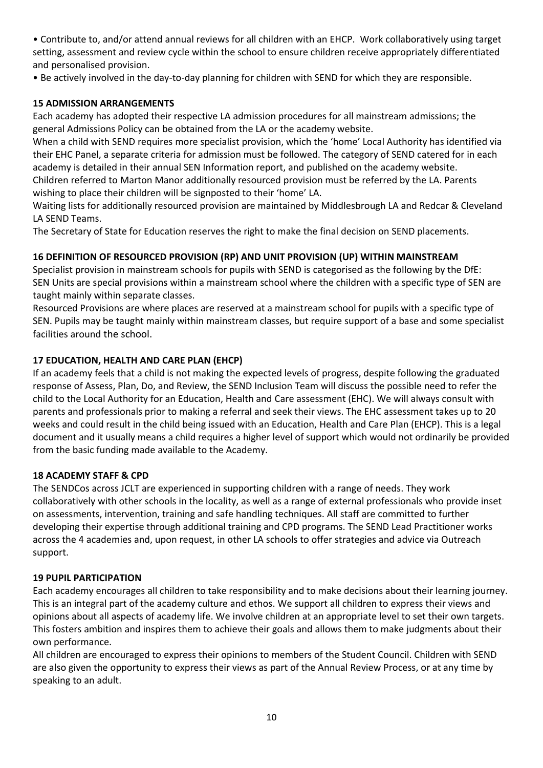• Contribute to, and/or attend annual reviews for all children with an EHCP. Work collaboratively using target setting, assessment and review cycle within the school to ensure children receive appropriately differentiated and personalised provision.

• Be actively involved in the day-to-day planning for children with SEND for which they are responsible.

# **15 ADMISSION ARRANGEMENTS**

Each academy has adopted their respective LA admission procedures for all mainstream admissions; the general Admissions Policy can be obtained from the LA or the academy website.

When a child with SEND requires more specialist provision, which the 'home' Local Authority has identified via their EHC Panel, a separate criteria for admission must be followed. The category of SEND catered for in each academy is detailed in their annual SEN Information report, and published on the academy website.

Children referred to Marton Manor additionally resourced provision must be referred by the LA. Parents wishing to place their children will be signposted to their 'home' LA.

Waiting lists for additionally resourced provision are maintained by Middlesbrough LA and Redcar & Cleveland LA SEND Teams.

The Secretary of State for Education reserves the right to make the final decision on SEND placements.

# **16 DEFINITION OF RESOURCED PROVISION (RP) AND UNIT PROVISION (UP) WITHIN MAINSTREAM**

Specialist provision in mainstream schools for pupils with SEND is categorised as the following by the DfE: SEN Units are special provisions within a mainstream school where the children with a specific type of SEN are taught mainly within separate classes.

Resourced Provisions are where places are reserved at a mainstream school for pupils with a specific type of SEN. Pupils may be taught mainly within mainstream classes, but require support of a base and some specialist facilities around the school.

# **17 EDUCATION, HEALTH AND CARE PLAN (EHCP)**

If an academy feels that a child is not making the expected levels of progress, despite following the graduated response of Assess, Plan, Do, and Review, the SEND Inclusion Team will discuss the possible need to refer the child to the Local Authority for an Education, Health and Care assessment (EHC). We will always consult with parents and professionals prior to making a referral and seek their views. The EHC assessment takes up to 20 weeks and could result in the child being issued with an Education, Health and Care Plan (EHCP). This is a legal document and it usually means a child requires a higher level of support which would not ordinarily be provided from the basic funding made available to the Academy.

# **18 ACADEMY STAFF & CPD**

The SENDCos across JCLT are experienced in supporting children with a range of needs. They work collaboratively with other schools in the locality, as well as a range of external professionals who provide inset on assessments, intervention, training and safe handling techniques. All staff are committed to further developing their expertise through additional training and CPD programs. The SEND Lead Practitioner works across the 4 academies and, upon request, in other LA schools to offer strategies and advice via Outreach support.

# **19 PUPIL PARTICIPATION**

Each academy encourages all children to take responsibility and to make decisions about their learning journey. This is an integral part of the academy culture and ethos. We support all children to express their views and opinions about all aspects of academy life. We involve children at an appropriate level to set their own targets. This fosters ambition and inspires them to achieve their goals and allows them to make judgments about their own performance.

All children are encouraged to express their opinions to members of the Student Council. Children with SEND are also given the opportunity to express their views as part of the Annual Review Process, or at any time by speaking to an adult.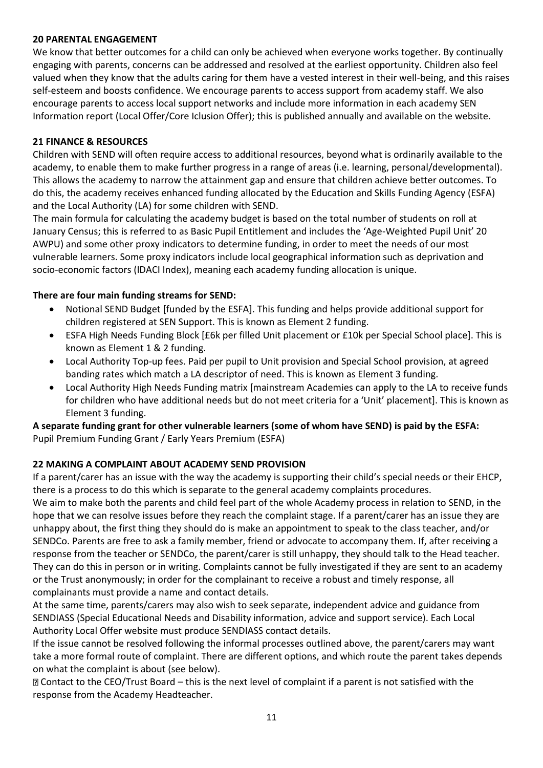#### **20 PARENTAL ENGAGEMENT**

We know that better outcomes for a child can only be achieved when everyone works together. By continually engaging with parents, concerns can be addressed and resolved at the earliest opportunity. Children also feel valued when they know that the adults caring for them have a vested interest in their well-being, and this raises self-esteem and boosts confidence. We encourage parents to access support from academy staff. We also encourage parents to access local support networks and include more information in each academy SEN Information report (Local Offer/Core Iclusion Offer); this is published annually and available on the website.

# **21 FINANCE & RESOURCES**

Children with SEND will often require access to additional resources, beyond what is ordinarily available to the academy, to enable them to make further progress in a range of areas (i.e. learning, personal/developmental). This allows the academy to narrow the attainment gap and ensure that children achieve better outcomes. To do this, the academy receives enhanced funding allocated by the Education and Skills Funding Agency (ESFA) and the Local Authority (LA) for some children with SEND.

The main formula for calculating the academy budget is based on the total number of students on roll at January Census; this is referred to as Basic Pupil Entitlement and includes the 'Age-Weighted Pupil Unit' 20 AWPU) and some other proxy indicators to determine funding, in order to meet the needs of our most vulnerable learners. Some proxy indicators include local geographical information such as deprivation and socio-economic factors (IDACI Index), meaning each academy funding allocation is unique.

# **There are four main funding streams for SEND:**

- Notional SEND Budget [funded by the ESFA]. This funding and helps provide additional support for children registered at SEN Support. This is known as Element 2 funding.
- ESFA High Needs Funding Block [£6k per filled Unit placement or £10k per Special School place]. This is known as Element 1 & 2 funding.
- Local Authority Top-up fees. Paid per pupil to Unit provision and Special School provision, at agreed banding rates which match a LA descriptor of need. This is known as Element 3 funding.
- Local Authority High Needs Funding matrix [mainstream Academies can apply to the LA to receive funds for children who have additional needs but do not meet criteria for a 'Unit' placement]. This is known as Element 3 funding.

# **A separate funding grant for other vulnerable learners (some of whom have SEND) is paid by the ESFA:**  Pupil Premium Funding Grant / Early Years Premium (ESFA)

# **22 MAKING A COMPLAINT ABOUT ACADEMY SEND PROVISION**

If a parent/carer has an issue with the way the academy is supporting their child's special needs or their EHCP, there is a process to do this which is separate to the general academy complaints procedures.

We aim to make both the parents and child feel part of the whole Academy process in relation to SEND, in the hope that we can resolve issues before they reach the complaint stage. If a parent/carer has an issue they are unhappy about, the first thing they should do is make an appointment to speak to the class teacher, and/or SENDCo. Parents are free to ask a family member, friend or advocate to accompany them. If, after receiving a response from the teacher or SENDCo, the parent/carer is still unhappy, they should talk to the Head teacher. They can do this in person or in writing. Complaints cannot be fully investigated if they are sent to an academy or the Trust anonymously; in order for the complainant to receive a robust and timely response, all complainants must provide a name and contact details.

At the same time, parents/carers may also wish to seek separate, independent advice and guidance from SENDIASS (Special Educational Needs and Disability information, advice and support service). Each Local Authority Local Offer website must produce SENDIASS contact details.

If the issue cannot be resolved following the informal processes outlined above, the parent/carers may want take a more formal route of complaint. There are different options, and which route the parent takes depends on what the complaint is about (see below).

Contact to the CEO/Trust Board – this is the next level of complaint if a parent is not satisfied with the response from the Academy Headteacher.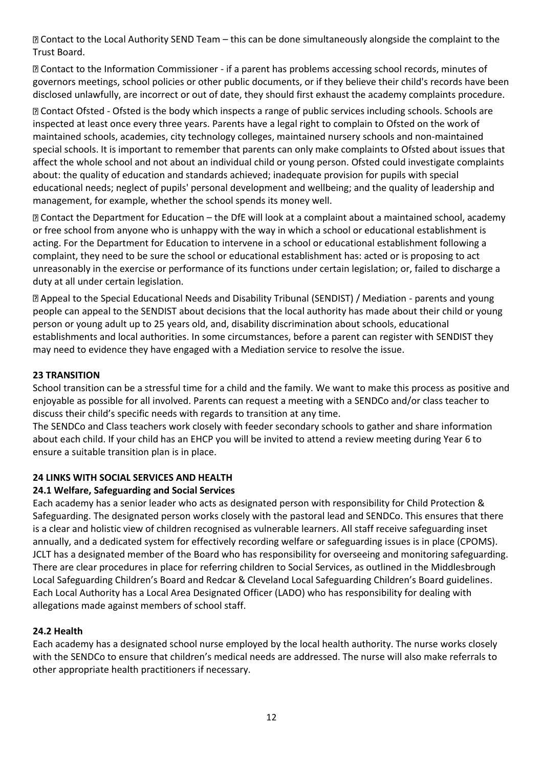Contact to the Local Authority SEND Team – this can be done simultaneously alongside the complaint to the Trust Board.

Contact to the Information Commissioner - if a parent has problems accessing school records, minutes of governors meetings, school policies or other public documents, or if they believe their child's records have been disclosed unlawfully, are incorrect or out of date, they should first exhaust the academy complaints procedure.

Contact Ofsted - Ofsted is the body which inspects a range of public services including schools. Schools are inspected at least once every three years. Parents have a legal right to complain to Ofsted on the work of maintained schools, academies, city technology colleges, maintained nursery schools and non-maintained special schools. It is important to remember that parents can only make complaints to Ofsted about issues that affect the whole school and not about an individual child or young person. Ofsted could investigate complaints about: the quality of education and standards achieved; inadequate provision for pupils with special educational needs; neglect of pupils' personal development and wellbeing; and the quality of leadership and management, for example, whether the school spends its money well.

Contact the Department for Education – the DfE will look at a complaint about a maintained school, academy or free school from anyone who is unhappy with the way in which a school or educational establishment is acting. For the Department for Education to intervene in a school or educational establishment following a complaint, they need to be sure the school or educational establishment has: acted or is proposing to act unreasonably in the exercise or performance of its functions under certain legislation; or, failed to discharge a duty at all under certain legislation.

Appeal to the Special Educational Needs and Disability Tribunal (SENDIST) / Mediation - parents and young people can appeal to the SENDIST about decisions that the local authority has made about their child or young person or young adult up to 25 years old, and, disability discrimination about schools, educational establishments and local authorities. In some circumstances, before a parent can register with SENDIST they may need to evidence they have engaged with a Mediation service to resolve the issue.

# **23 TRANSITION**

School transition can be a stressful time for a child and the family. We want to make this process as positive and enjoyable as possible for all involved. Parents can request a meeting with a SENDCo and/or class teacher to discuss their child's specific needs with regards to transition at any time.

The SENDCo and Class teachers work closely with feeder secondary schools to gather and share information about each child. If your child has an EHCP you will be invited to attend a review meeting during Year 6 to ensure a suitable transition plan is in place.

#### **24 LINKS WITH SOCIAL SERVICES AND HEALTH**

#### **24.1 Welfare, Safeguarding and Social Services**

Each academy has a senior leader who acts as designated person with responsibility for Child Protection & Safeguarding. The designated person works closely with the pastoral lead and SENDCo. This ensures that there is a clear and holistic view of children recognised as vulnerable learners. All staff receive safeguarding inset annually, and a dedicated system for effectively recording welfare or safeguarding issues is in place (CPOMS). JCLT has a designated member of the Board who has responsibility for overseeing and monitoring safeguarding. There are clear procedures in place for referring children to Social Services, as outlined in the Middlesbrough Local Safeguarding Children's Board and Redcar & Cleveland Local Safeguarding Children's Board guidelines. Each Local Authority has a Local Area Designated Officer (LADO) who has responsibility for dealing with allegations made against members of school staff.

#### **24.2 Health**

Each academy has a designated school nurse employed by the local health authority. The nurse works closely with the SENDCo to ensure that children's medical needs are addressed. The nurse will also make referrals to other appropriate health practitioners if necessary.